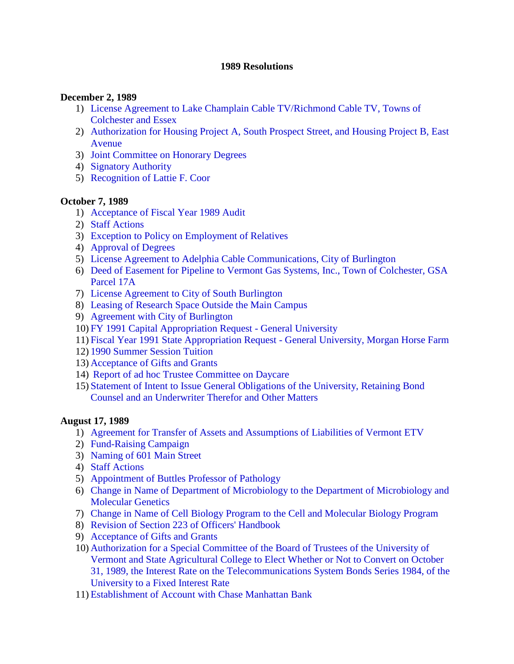#### **1989 Resolutions**

#### **December 2, 1989**

- 1) [License Agreement to Lake Champlain Cable TV/Richmond Cable TV, Towns of](#page-2-0)  Colchester and Essex
- 2) [Authorization for Housing Project A, South Prospect Street, and Housing Project B, East](#page-2-0)  Avenue
- 3) [Joint Committee on Honorary Degrees](#page-2-0)
- 4) [Signatory Authority](#page-2-0)
- 5) [Recognition of Lattie F. Coor](#page-3-0)

#### **October 7, 1989**

- 1) [Acceptance of Fiscal Year 1989 Audit](#page-4-0)
- 2) [Staff Actions](#page-4-0)
- 3) [Exception to Policy on Employment of Relatives](#page-4-0)
- 4) [Approval of Degrees](#page-4-0)
- 5) [License Agreement to Adelphia Cable Communications, City of Burlington](#page-5-0)
- 6) [Deed of Easement for Pipeline to Vermont Gas Systems, Inc., Town of Colchester, GSA](#page-5-0)  Parcel 17A
- 7) [License Agreement to City of South Burlington](#page-5-0)
- 8) [Leasing of Research Space Outside the Main Campus](#page-6-0)
- 9) [Agreement with City of Burlington](#page-6-0)
- 10) [FY 1991 Capital Appropriation Request General University](#page-7-0)
- 11) [Fiscal Year 1991 State Appropriation Request General University, Morgan](#page-7-0) Horse Farm
- 12) [1990 Summer Session Tuition](#page-8-0)
- 13) [Acceptance of Gifts and Grants](#page-8-0)
- 14) [Report of ad hoc Trustee Committee on Daycare](#page-8-0)
- 15) [Statement of Intent to Issue General Obligations of the University, Retaining Bond](#page-8-0)  Counsel and an Underwriter Therefor and Other Matters

#### **August 17, 1989**

- 1) [Agreement for Transfer of Assets and Assumptions of Liabilities of Vermont ETV](#page-10-0)
- 2) [Fund-Raising Campaign](#page-11-0)
- 3) [Naming of 601 Main Street](#page-11-0)
- 4) [Staff Actions](#page-12-0)
- 5) [Appointment of Buttles Professor of Pathology](#page-12-0)
- 6) [Change in Name of Department of Microbiology to the Department of Microbiology and](#page-12-0) Molecular Genetics
- 7) [Change in Name of Cell Biology Program to the Cell and Molecular Biology Program](#page-12-0)
- 8) [Revision of Section 223 of Officers' Handbook](#page-12-0)
- 9) [Acceptance of Gifts and Grants](#page-12-0)
- 10) Authorization for a Special Committee of the Board of Trustees of the University of Vermont and State Agricultural College to Elect Whether or Not to Convert on October [31, 1989, the Interest Rate on the Telecommunications System Bonds Series 1984, of the](#page-13-0)  University to a Fixed Interest Rate
- 11) [Establishment of Account with Chase Manhattan Bank](#page-13-0)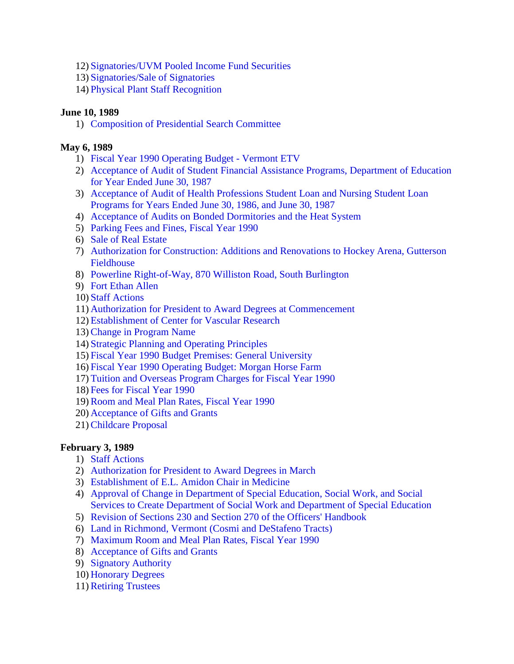- 12) [Signatories/UVM Pooled Income Fund Securities](#page-14-0)
- 13) [Signatories/Sale of Signatories](#page-14-0)
- 14) [Physical Plant Staff Recognition](#page-14-0)

# **June 10, 1989**

1) [Composition of Presidential Search Committee](#page-17-0)

# **May 6, 1989**

- 1) [Fiscal Year 1990 Operating Budget Vermont ETV](#page-18-0)
- 2) [Acceptance of Audit of Student Financial Assistance Programs, Department of Education](#page-18-0) for Year Ended June 30, 1987
- 3) [Acceptance of Audit of Health Professions Student Loan and Nursing Student Loan](#page-18-0) Programs for Years Ended June 30, 1986, and June 30, 1987
- 4) [Acceptance of Audits on Bonded Dormitories and the Heat System](#page-19-0)
- 5) [Parking Fees and Fines, Fiscal Year 1990](#page-19-0)
- 6) Sale of [Real Estate](#page-20-0)
- 7) [Authorization for Construction: Additions and Renovations to Hockey Arena, Gutterson](#page-20-0)  Fieldhouse
- 8) [Powerline Right-of-Way, 870 Williston Road, South Burlington](#page-20-0)
- 9) [Fort Ethan Allen](#page-20-0)
- 10) [Staff Actions](#page-21-0)
- 11) [Authorization for President to Award Degrees at Commencement](#page-21-0)
- 12) [Establishment of Center for Vascular Research](#page-21-0)
- 13) [Change in Program Name](#page-22-0)
- 14) [Strategic Planning and Operating Principles](#page-22-0)
- 15) [Fiscal Year 1990 Budget Premises: General University](#page-22-0)
- 16) [Fiscal Year 1990 Operating Budget: Morgan Horse Farm](#page-22-0)
- 17) [Tuition and Overseas Program Charges for Fiscal Year 1990](#page-22-0)
- 18) [Fees for Fiscal Year 1990](#page-23-0)
- 19) [Room and Meal Plan Rates, Fiscal Year 1990](#page-23-0)
- 20) [Acceptance of Gifts and Grants](#page-23-0)
- 21) [Childcare Proposal](#page-23-0)

# **February 3, 1989**

- 1) [Staff Actions](#page-24-0)
- 2) [Authorization for President to Award Degrees in March](#page-24-0)
- 3) [Establishment of E.L. Amidon Chair in Medicine](#page-24-0)
- 4) Approval of Change in Department of Special Education, Social Work, and Social [Services to Create Department of Social Work and Department of Special Education](#page-24-0)
- 5) [Revision of Sections 230 and Section 270 of the Officers' Handbook](#page-24-0)
- 6) [Land in Richmond, Vermont \(Cosmi and DeStafeno Tracts\)](#page-25-0)
- 7) [Maximum Room and Meal Plan Rates, Fiscal Year 1990](#page-25-0)
- 8) [Acceptance of Gifts and Grants](#page-25-0)
- 9) [Signatory Authority](#page-26-0)
- 10) [Honorary Degrees](#page-26-0)
- 11) [Retiring Trustees](#page-26-0)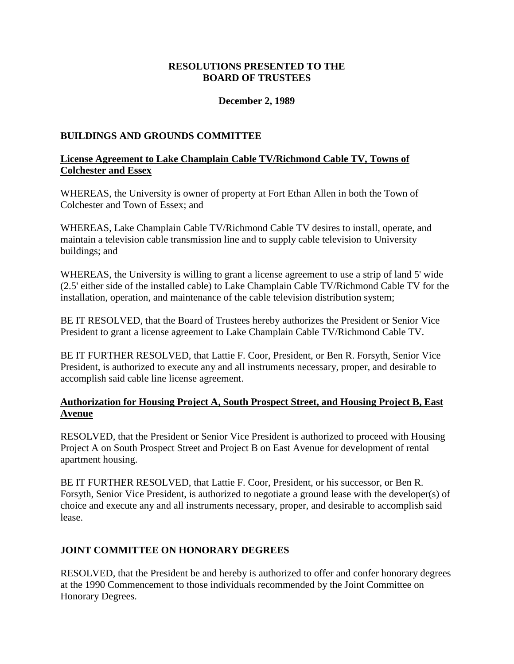# **RESOLUTIONS PRESENTED TO THE BOARD OF TRUSTEES**

# **December 2, 1989**

# <span id="page-2-0"></span>**BUILDINGS AND GROUNDS COMMITTEE**

# **License Agreement to Lake Champlain Cable TV/Richmond Cable TV, Towns of Colchester and Essex**

WHEREAS, the University is owner of property at Fort Ethan Allen in both the Town of Colchester and Town of Essex; and

WHEREAS, Lake Champlain Cable TV/Richmond Cable TV desires to install, operate, and maintain a television cable transmission line and to supply cable television to University buildings; and

WHEREAS, the University is willing to grant a license agreement to use a strip of land 5' wide (2.5' either side of the installed cable) to Lake Champlain Cable TV/Richmond Cable TV for the installation, operation, and maintenance of the cable television distribution system;

BE IT RESOLVED, that the Board of Trustees hereby authorizes the President or Senior Vice President to grant a license agreement to Lake Champlain Cable TV/Richmond Cable TV.

BE IT FURTHER RESOLVED, that Lattie F. Coor, President, or Ben R. Forsyth, Senior Vice President, is authorized to execute any and all instruments necessary, proper, and desirable to accomplish said cable line license agreement.

# **Authorization for Housing Project A, South Prospect Street, and Housing Project B, East Avenue**

RESOLVED, that the President or Senior Vice President is authorized to proceed with Housing Project A on South Prospect Street and Project B on East Avenue for development of rental apartment housing.

BE IT FURTHER RESOLVED, that Lattie F. Coor, President, or his successor, or Ben R. Forsyth, Senior Vice President, is authorized to negotiate a ground lease with the developer(s) of choice and execute any and all instruments necessary, proper, and desirable to accomplish said lease.

#### **JOINT COMMITTEE ON HONORARY DEGREES**

RESOLVED, that the President be and hereby is authorized to offer and confer honorary degrees at the 1990 Commencement to those individuals recommended by the Joint Committee on Honorary Degrees.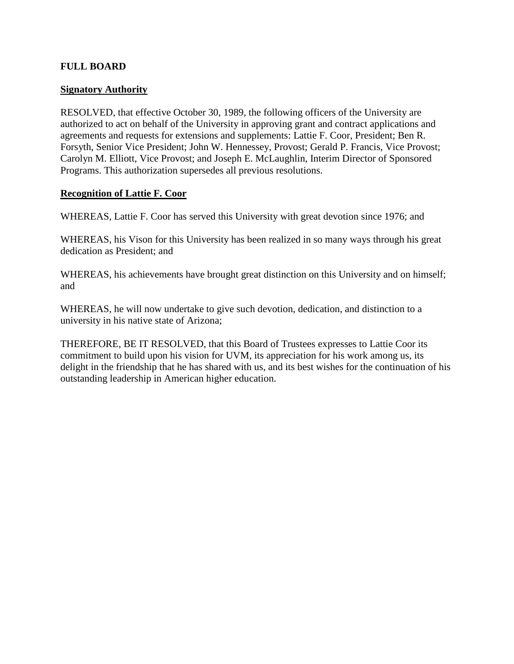### <span id="page-3-0"></span>**FULL BOARD**

#### **Signatory Authority**

RESOLVED, that effective October 30, 1989, the following officers of the University are authorized to act on behalf of the University in approving grant and contract applications and agreements and requests for extensions and supplements: Lattie F. Coor, President; Ben R. Forsyth, Senior Vice President; John W. Hennessey, Provost; Gerald P. Francis, Vice Provost; Carolyn M. Elliott, Vice Provost; and Joseph E. McLaughlin, Interim Director of Sponsored Programs. This authorization supersedes all previous resolutions.

#### **Recognition of Lattie F. Coor**

WHEREAS, Lattie F. Coor has served this University with great devotion since 1976; and

WHEREAS, his Vison for this University has been realized in so many ways through his great dedication as President; and

WHEREAS, his achievements have brought great distinction on this University and on himself; and

WHEREAS, he will now undertake to give such devotion, dedication, and distinction to a university in his native state of Arizona;

THEREFORE, BE IT RESOLVED, that this Board of Trustees expresses to Lattie Coor its commitment to build upon his vision for UVM, its appreciation for his work among us, its delight in the friendship that he has shared with us, and its best wishes for the continuation of his outstanding leadership in American higher education.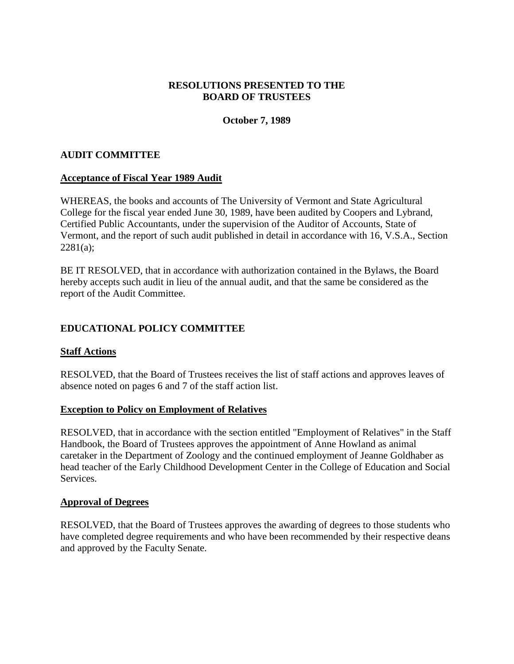# **RESOLUTIONS PRESENTED TO THE BOARD OF TRUSTEES**

# **October 7, 1989**

### <span id="page-4-0"></span>**AUDIT COMMITTEE**

#### **Acceptance of Fiscal Year 1989 Audit**

WHEREAS, the books and accounts of The University of Vermont and State Agricultural College for the fiscal year ended June 30, 1989, have been audited by Coopers and Lybrand, Certified Public Accountants, under the supervision of the Auditor of Accounts, State of Vermont, and the report of such audit published in detail in accordance with 16, V.S.A., Section  $2281(a)$ ;

BE IT RESOLVED, that in accordance with authorization contained in the Bylaws, the Board hereby accepts such audit in lieu of the annual audit, and that the same be considered as the report of the Audit Committee.

# **EDUCATIONAL POLICY COMMITTEE**

#### **Staff Actions**

RESOLVED, that the Board of Trustees receives the list of staff actions and approves leaves of absence noted on pages 6 and 7 of the staff action list.

#### **Exception to Policy on Employment of Relatives**

RESOLVED, that in accordance with the section entitled "Employment of Relatives" in the Staff Handbook, the Board of Trustees approves the appointment of Anne Howland as animal caretaker in the Department of Zoology and the continued employment of Jeanne Goldhaber as head teacher of the Early Childhood Development Center in the College of Education and Social **Services** 

#### **Approval of Degrees**

RESOLVED, that the Board of Trustees approves the awarding of degrees to those students who have completed degree requirements and who have been recommended by their respective deans and approved by the Faculty Senate.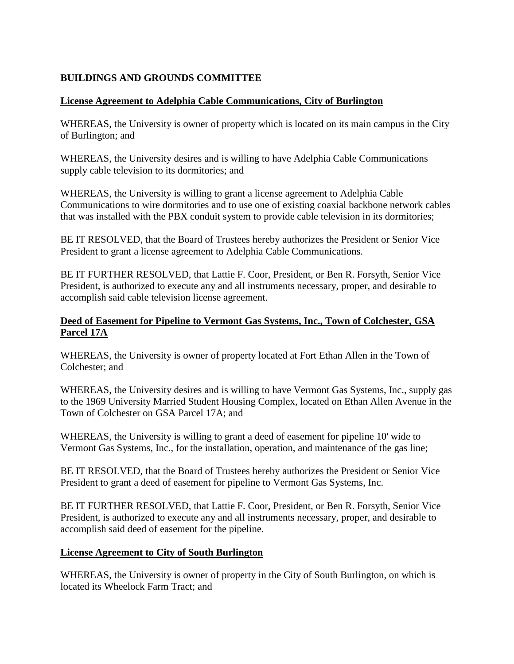# <span id="page-5-0"></span>**BUILDINGS AND GROUNDS COMMITTEE**

# **License Agreement to Adelphia Cable Communications, City of Burlington**

WHEREAS, the University is owner of property which is located on its main campus in the City of Burlington; and

WHEREAS, the University desires and is willing to have Adelphia Cable Communications supply cable television to its dormitories; and

WHEREAS, the University is willing to grant a license agreement to Adelphia Cable Communications to wire dormitories and to use one of existing coaxial backbone network cables that was installed with the PBX conduit system to provide cable television in its dormitories;

BE IT RESOLVED, that the Board of Trustees hereby authorizes the President or Senior Vice President to grant a license agreement to Adelphia Cable Communications.

BE IT FURTHER RESOLVED, that Lattie F. Coor, President, or Ben R. Forsyth, Senior Vice President, is authorized to execute any and all instruments necessary, proper, and desirable to accomplish said cable television license agreement.

# **Deed of Easement for Pipeline to Vermont Gas Systems, Inc., Town of Colchester, GSA Parcel 17A**

WHEREAS, the University is owner of property located at Fort Ethan Allen in the Town of Colchester; and

WHEREAS, the University desires and is willing to have Vermont Gas Systems, Inc., supply gas to the 1969 University Married Student Housing Complex, located on Ethan Allen Avenue in the Town of Colchester on GSA Parcel 17A; and

WHEREAS, the University is willing to grant a deed of easement for pipeline 10' wide to Vermont Gas Systems, Inc., for the installation, operation, and maintenance of the gas line;

BE IT RESOLVED, that the Board of Trustees hereby authorizes the President or Senior Vice President to grant a deed of easement for pipeline to Vermont Gas Systems, Inc.

BE IT FURTHER RESOLVED, that Lattie F. Coor, President, or Ben R. Forsyth, Senior Vice President, is authorized to execute any and all instruments necessary, proper, and desirable to accomplish said deed of easement for the pipeline.

# **License Agreement to City of South Burlington**

WHEREAS, the University is owner of property in the City of South Burlington, on which is located its Wheelock Farm Tract; and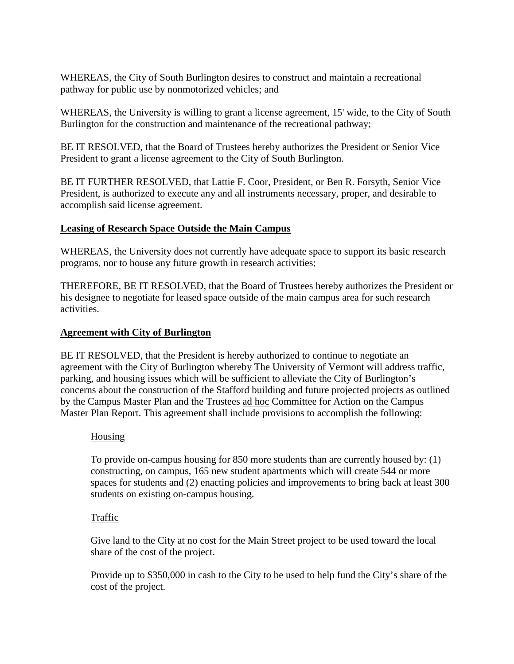<span id="page-6-0"></span>WHEREAS, the City of South Burlington desires to construct and maintain a recreational pathway for public use by nonmotorized vehicles; and

WHEREAS, the University is willing to grant a license agreement, 15' wide, to the City of South Burlington for the construction and maintenance of the recreational pathway;

BE IT RESOLVED, that the Board of Trustees hereby authorizes the President or Senior Vice President to grant a license agreement to the City of South Burlington.

BE IT FURTHER RESOLVED, that Lattie F. Coor, President, or Ben R. Forsyth, Senior Vice President, is authorized to execute any and all instruments necessary, proper, and desirable to accomplish said license agreement.

# **Leasing of Research Space Outside the Main Campus**

WHEREAS, the University does not currently have adequate space to support its basic research programs, nor to house any future growth in research activities;

THEREFORE, BE IT RESOLVED, that the Board of Trustees hereby authorizes the President or his designee to negotiate for leased space outside of the main campus area for such research activities.

# **Agreement with City of Burlington**

BE IT RESOLVED, that the President is hereby authorized to continue to negotiate an agreement with the City of Burlington whereby The University of Vermont will address traffic, parking, and housing issues which will be sufficient to alleviate the City of Burlington's concerns about the construction of the Stafford building and future projected projects as outlined by the Campus Master Plan and the Trustees ad hoc Committee for Action on the Campus Master Plan Report. This agreement shall include provisions to accomplish the following:

# Housing

To provide on-campus housing for 850 more students than are currently housed by: (1) constructing, on campus, 165 new student apartments which will create 544 or more spaces for students and (2) enacting policies and improvements to bring back at least 300 students on existing on-campus housing.

# Traffic

Give land to the City at no cost for the Main Street project to be used toward the local share of the cost of the project.

Provide up to \$350,000 in cash to the City to be used to help fund the City's share of the cost of the project.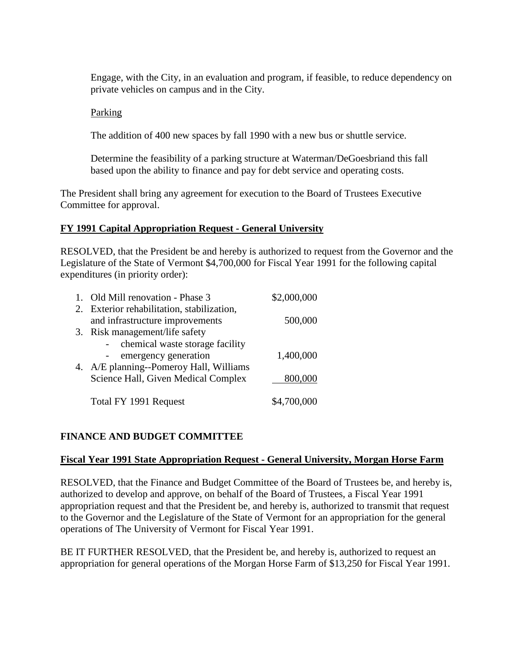<span id="page-7-0"></span>Engage, with the City, in an evaluation and program, if feasible, to reduce dependency on private vehicles on campus and in the City.

### Parking

The addition of 400 new spaces by fall 1990 with a new bus or shuttle service.

Determine the feasibility of a parking structure at Waterman/DeGoesbriand this fall based upon the ability to finance and pay for debt service and operating costs.

The President shall bring any agreement for execution to the Board of Trustees Executive Committee for approval.

# **FY 1991 Capital Appropriation Request - General University**

RESOLVED, that the President be and hereby is authorized to request from the Governor and the Legislature of the State of Vermont \$4,700,000 for Fiscal Year 1991 for the following capital expenditures (in priority order):

| 1. Old Mill renovation - Phase 3           | \$2,000,000 |
|--------------------------------------------|-------------|
| 2. Exterior rehabilitation, stabilization, |             |
| and infrastructure improvements            | 500,000     |
| 3. Risk management/life safety             |             |
| chemical waste storage facility            |             |
| emergency generation                       | 1,400,000   |
| 4. A/E planning--Pomeroy Hall, Williams    |             |
| Science Hall, Given Medical Complex        | 800,000     |
|                                            |             |
| Total FY 1991 Request                      | \$4,700,000 |

# **FINANCE AND BUDGET COMMITTEE**

#### **Fiscal Year 1991 State Appropriation Request - General University, Morgan Horse Farm**

RESOLVED, that the Finance and Budget Committee of the Board of Trustees be, and hereby is, authorized to develop and approve, on behalf of the Board of Trustees, a Fiscal Year 1991 appropriation request and that the President be, and hereby is, authorized to transmit that request to the Governor and the Legislature of the State of Vermont for an appropriation for the general operations of The University of Vermont for Fiscal Year 1991.

BE IT FURTHER RESOLVED, that the President be, and hereby is, authorized to request an appropriation for general operations of the Morgan Horse Farm of \$13,250 for Fiscal Year 1991.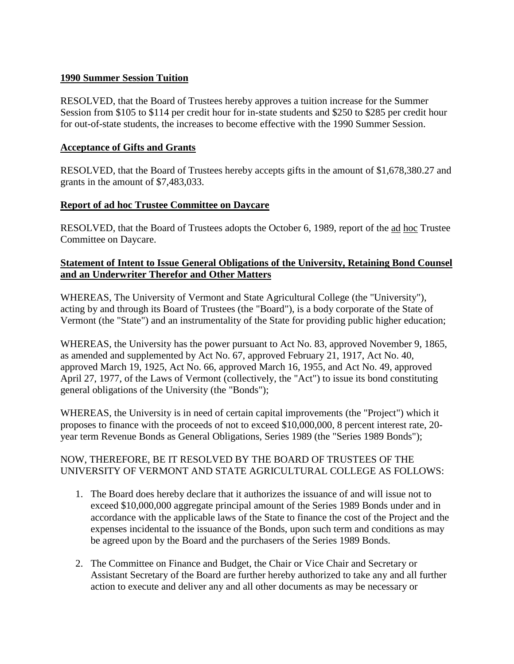# <span id="page-8-0"></span>**1990 Summer Session Tuition**

RESOLVED, that the Board of Trustees hereby approves a tuition increase for the Summer Session from \$105 to \$114 per credit hour for in-state students and \$250 to \$285 per credit hour for out-of-state students, the increases to become effective with the 1990 Summer Session.

# **Acceptance of Gifts and Grants**

RESOLVED, that the Board of Trustees hereby accepts gifts in the amount of \$1,678,380.27 and grants in the amount of \$7,483,033.

# **Report of ad hoc Trustee Committee on Daycare**

RESOLVED, that the Board of Trustees adopts the October 6, 1989, report of the ad hoc Trustee Committee on Daycare.

# **Statement of Intent to Issue General Obligations of the University, Retaining Bond Counsel and an Underwriter Therefor and Other Matters**

WHEREAS, The University of Vermont and State Agricultural College (the "University"), acting by and through its Board of Trustees (the "Board"), is a body corporate of the State of Vermont (the "State") and an instrumentality of the State for providing public higher education;

WHEREAS, the University has the power pursuant to Act No. 83, approved November 9, 1865, as amended and supplemented by Act No. 67, approved February 21, 1917, Act No. 40, approved March 19, 1925, Act No. 66, approved March 16, 1955, and Act No. 49, approved April 27, 1977, of the Laws of Vermont (collectively, the "Act") to issue its bond constituting general obligations of the University (the "Bonds");

WHEREAS, the University is in need of certain capital improvements (the "Project") which it proposes to finance with the proceeds of not to exceed \$10,000,000, 8 percent interest rate, 20 year term Revenue Bonds as General Obligations, Series 1989 (the "Series 1989 Bonds");

# NOW, THEREFORE, BE IT RESOLVED BY THE BOARD OF TRUSTEES OF THE UNIVERSITY OF VERMONT AND STATE AGRICULTURAL COLLEGE AS FOLLOWS:

- 1. The Board does hereby declare that it authorizes the issuance of and will issue not to exceed \$10,000,000 aggregate principal amount of the Series 1989 Bonds under and in accordance with the applicable laws of the State to finance the cost of the Project and the expenses incidental to the issuance of the Bonds, upon such term and conditions as may be agreed upon by the Board and the purchasers of the Series 1989 Bonds.
- 2. The Committee on Finance and Budget, the Chair or Vice Chair and Secretary or Assistant Secretary of the Board are further hereby authorized to take any and all further action to execute and deliver any and all other documents as may be necessary or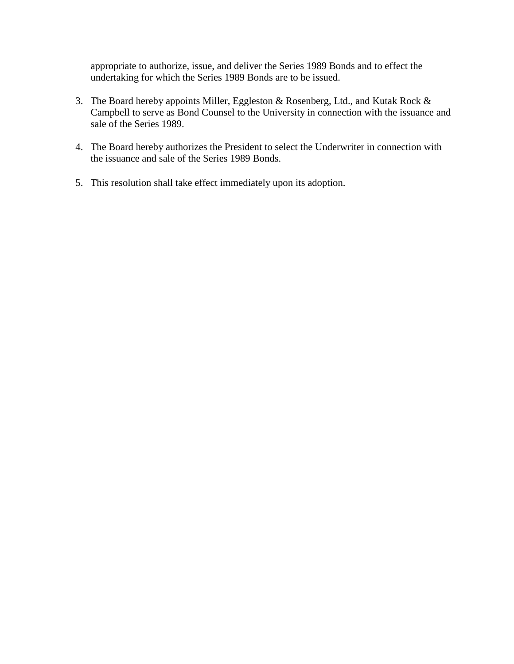appropriate to authorize, issue, and deliver the Series 1989 Bonds and to effect the undertaking for which the Series 1989 Bonds are to be issued.

- 3. The Board hereby appoints Miller, Eggleston & Rosenberg, Ltd., and Kutak Rock & Campbell to serve as Bond Counsel to the University in connection with the issuance and sale of the Series 1989.
- 4. The Board hereby authorizes the President to select the Underwriter in connection with the issuance and sale of the Series 1989 Bonds.
- 5. This resolution shall take effect immediately upon its adoption.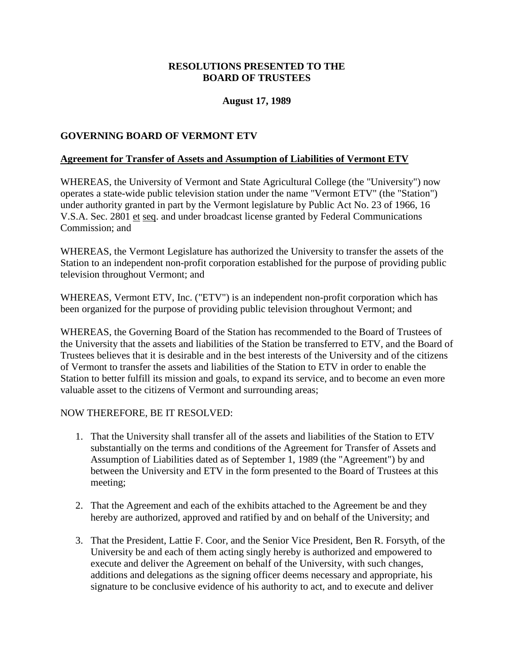# **RESOLUTIONS PRESENTED TO THE BOARD OF TRUSTEES**

# **August 17, 1989**

# <span id="page-10-0"></span>**GOVERNING BOARD OF VERMONT ETV**

#### **Agreement for Transfer of Assets and Assumption of Liabilities of Vermont ETV**

WHEREAS, the University of Vermont and State Agricultural College (the "University") now operates a state-wide public television station under the name "Vermont ETV" (the "Station") under authority granted in part by the Vermont legislature by Public Act No. 23 of 1966, 16 V.S.A. Sec. 2801 et seq. and under broadcast license granted by Federal Communications Commission; and

WHEREAS, the Vermont Legislature has authorized the University to transfer the assets of the Station to an independent non-profit corporation established for the purpose of providing public television throughout Vermont; and

WHEREAS, Vermont ETV, Inc. ("ETV") is an independent non-profit corporation which has been organized for the purpose of providing public television throughout Vermont; and

WHEREAS, the Governing Board of the Station has recommended to the Board of Trustees of the University that the assets and liabilities of the Station be transferred to ETV, and the Board of Trustees believes that it is desirable and in the best interests of the University and of the citizens of Vermont to transfer the assets and liabilities of the Station to ETV in order to enable the Station to better fulfill its mission and goals, to expand its service, and to become an even more valuable asset to the citizens of Vermont and surrounding areas;

#### NOW THEREFORE, BE IT RESOLVED:

- 1. That the University shall transfer all of the assets and liabilities of the Station to ETV substantially on the terms and conditions of the Agreement for Transfer of Assets and Assumption of Liabilities dated as of September 1, 1989 (the "Agreement") by and between the University and ETV in the form presented to the Board of Trustees at this meeting;
- 2. That the Agreement and each of the exhibits attached to the Agreement be and they hereby are authorized, approved and ratified by and on behalf of the University; and
- 3. That the President, Lattie F. Coor, and the Senior Vice President, Ben R. Forsyth, of the University be and each of them acting singly hereby is authorized and empowered to execute and deliver the Agreement on behalf of the University, with such changes, additions and delegations as the signing officer deems necessary and appropriate, his signature to be conclusive evidence of his authority to act, and to execute and deliver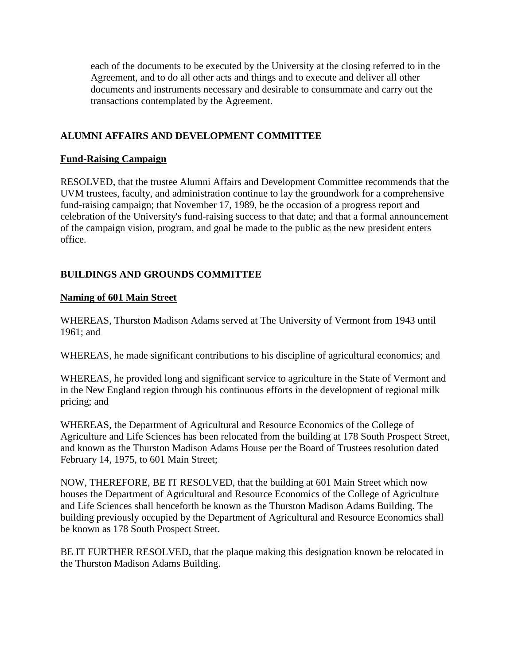<span id="page-11-0"></span>each of the documents to be executed by the University at the closing referred to in the Agreement, and to do all other acts and things and to execute and deliver all other documents and instruments necessary and desirable to consummate and carry out the transactions contemplated by the Agreement.

# **ALUMNI AFFAIRS AND DEVELOPMENT COMMITTEE**

# **Fund-Raising Campaign**

RESOLVED, that the trustee Alumni Affairs and Development Committee recommends that the UVM trustees, faculty, and administration continue to lay the groundwork for a comprehensive fund-raising campaign; that November 17, 1989, be the occasion of a progress report and celebration of the University's fund-raising success to that date; and that a formal announcement of the campaign vision, program, and goal be made to the public as the new president enters office.

# **BUILDINGS AND GROUNDS COMMITTEE**

# **Naming of 601 Main Street**

WHEREAS, Thurston Madison Adams served at The University of Vermont from 1943 until 1961; and

WHEREAS, he made significant contributions to his discipline of agricultural economics; and

WHEREAS, he provided long and significant service to agriculture in the State of Vermont and in the New England region through his continuous efforts in the development of regional milk pricing; and

WHEREAS, the Department of Agricultural and Resource Economics of the College of Agriculture and Life Sciences has been relocated from the building at 178 South Prospect Street, and known as the Thurston Madison Adams House per the Board of Trustees resolution dated February 14, 1975, to 601 Main Street;

NOW, THEREFORE, BE IT RESOLVED, that the building at 601 Main Street which now houses the Department of Agricultural and Resource Economics of the College of Agriculture and Life Sciences shall henceforth be known as the Thurston Madison Adams Building. The building previously occupied by the Department of Agricultural and Resource Economics shall be known as 178 South Prospect Street.

BE IT FURTHER RESOLVED, that the plaque making this designation known be relocated in the Thurston Madison Adams Building.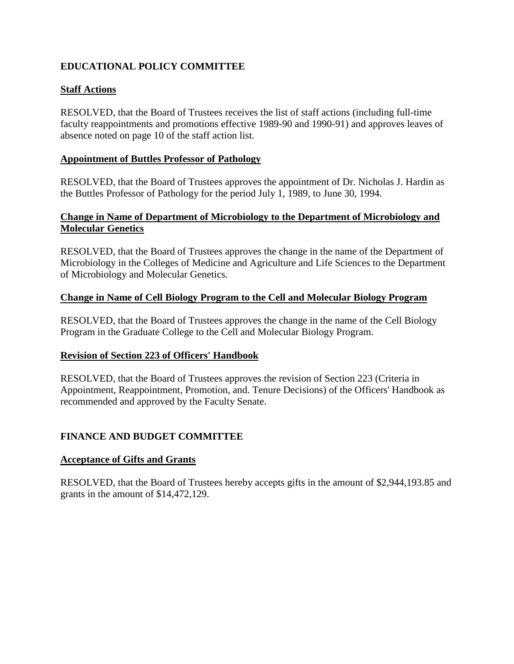# <span id="page-12-0"></span>**EDUCATIONAL POLICY COMMITTEE**

# **Staff Actions**

RESOLVED, that the Board of Trustees receives the list of staff actions (including full-time faculty reappointments and promotions effective 1989-90 and 1990-91) and approves leaves of absence noted on page 10 of the staff action list.

# **Appointment of Buttles Professor of Pathology**

RESOLVED, that the Board of Trustees approves the appointment of Dr. Nicholas J. Hardin as the Buttles Professor of Pathology for the period July 1, 1989, to June 30, 1994.

# **Change in Name of Department of Microbiology to the Department of Microbiology and Molecular Genetics**

RESOLVED, that the Board of Trustees approves the change in the name of the Department of Microbiology in the Colleges of Medicine and Agriculture and Life Sciences to the Department of Microbiology and Molecular Genetics.

# **Change in Name of Cell Biology Program to the Cell and Molecular Biology Program**

RESOLVED, that the Board of Trustees approves the change in the name of the Cell Biology Program in the Graduate College to the Cell and Molecular Biology Program.

# **Revision of Section 223 of Officers' Handbook**

RESOLVED, that the Board of Trustees approves the revision of Section 223 (Criteria in Appointment, Reappointment, Promotion, and. Tenure Decisions) of the Officers' Handbook as recommended and approved by the Faculty Senate.

# **FINANCE AND BUDGET COMMITTEE**

# **Acceptance of Gifts and Grants**

RESOLVED, that the Board of Trustees hereby accepts gifts in the amount of \$2,944,193.85 and grants in the amount of \$14,472,129.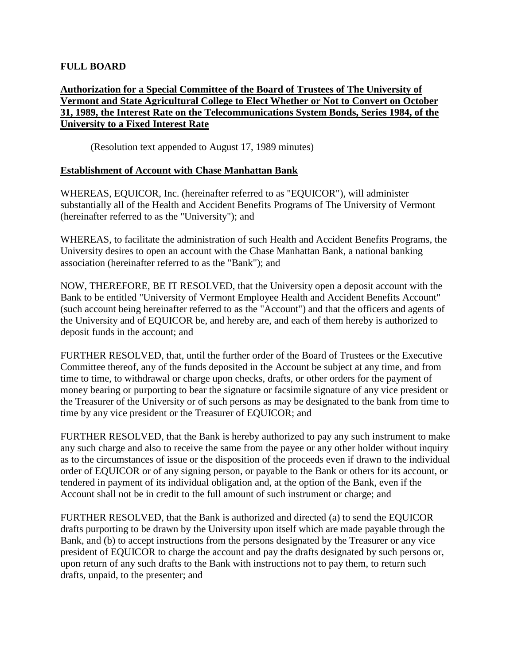# <span id="page-13-0"></span>**FULL BOARD**

# **Authorization for a Special Committee of the Board of Trustees of The University of Vermont and State Agricultural College to Elect Whether or Not to Convert on October 31, 1989, the Interest Rate on the Telecommunications System Bonds, Series 1984, of the University to a Fixed Interest Rate**

(Resolution text appended to August 17, 1989 minutes)

# **Establishment of Account with Chase Manhattan Bank**

WHEREAS, EQUICOR, Inc. (hereinafter referred to as "EQUICOR"), will administer substantially all of the Health and Accident Benefits Programs of The University of Vermont (hereinafter referred to as the "University"); and

WHEREAS, to facilitate the administration of such Health and Accident Benefits Programs, the University desires to open an account with the Chase Manhattan Bank, a national banking association (hereinafter referred to as the "Bank"); and

NOW, THEREFORE, BE IT RESOLVED, that the University open a deposit account with the Bank to be entitled "University of Vermont Employee Health and Accident Benefits Account" (such account being hereinafter referred to as the "Account") and that the officers and agents of the University and of EQUICOR be, and hereby are, and each of them hereby is authorized to deposit funds in the account; and

FURTHER RESOLVED, that, until the further order of the Board of Trustees or the Executive Committee thereof, any of the funds deposited in the Account be subject at any time, and from time to time, to withdrawal or charge upon checks, drafts, or other orders for the payment of money bearing or purporting to bear the signature or facsimile signature of any vice president or the Treasurer of the University or of such persons as may be designated to the bank from time to time by any vice president or the Treasurer of EQUICOR; and

FURTHER RESOLVED, that the Bank is hereby authorized to pay any such instrument to make any such charge and also to receive the same from the payee or any other holder without inquiry as to the circumstances of issue or the disposition of the proceeds even if drawn to the individual order of EQUICOR or of any signing person, or payable to the Bank or others for its account, or tendered in payment of its individual obligation and, at the option of the Bank, even if the Account shall not be in credit to the full amount of such instrument or charge; and

FURTHER RESOLVED, that the Bank is authorized and directed (a) to send the EQUICOR drafts purporting to be drawn by the University upon itself which are made payable through the Bank, and (b) to accept instructions from the persons designated by the Treasurer or any vice president of EQUICOR to charge the account and pay the drafts designated by such persons or, upon return of any such drafts to the Bank with instructions not to pay them, to return such drafts, unpaid, to the presenter; and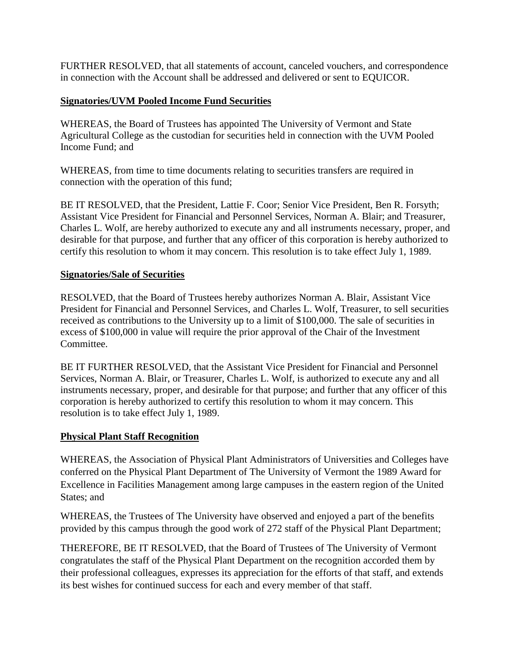<span id="page-14-0"></span>FURTHER RESOLVED, that all statements of account, canceled vouchers, and correspondence in connection with the Account shall be addressed and delivered or sent to EQUICOR.

# **Signatories/UVM Pooled Income Fund Securities**

WHEREAS, the Board of Trustees has appointed The University of Vermont and State Agricultural College as the custodian for securities held in connection with the UVM Pooled Income Fund; and

WHEREAS, from time to time documents relating to securities transfers are required in connection with the operation of this fund;

BE IT RESOLVED, that the President, Lattie F. Coor; Senior Vice President, Ben R. Forsyth; Assistant Vice President for Financial and Personnel Services, Norman A. Blair; and Treasurer, Charles L. Wolf, are hereby authorized to execute any and all instruments necessary, proper, and desirable for that purpose, and further that any officer of this corporation is hereby authorized to certify this resolution to whom it may concern. This resolution is to take effect July 1, 1989.

# **Signatories/Sale of Securities**

RESOLVED, that the Board of Trustees hereby authorizes Norman A. Blair, Assistant Vice President for Financial and Personnel Services, and Charles L. Wolf, Treasurer, to sell securities received as contributions to the University up to a limit of \$100,000. The sale of securities in excess of \$100,000 in value will require the prior approval of the Chair of the Investment Committee.

BE IT FURTHER RESOLVED, that the Assistant Vice President for Financial and Personnel Services, Norman A. Blair, or Treasurer, Charles L. Wolf, is authorized to execute any and all instruments necessary, proper, and desirable for that purpose; and further that any officer of this corporation is hereby authorized to certify this resolution to whom it may concern. This resolution is to take effect July 1, 1989.

# **Physical Plant Staff Recognition**

WHEREAS, the Association of Physical Plant Administrators of Universities and Colleges have conferred on the Physical Plant Department of The University of Vermont the 1989 Award for Excellence in Facilities Management among large campuses in the eastern region of the United States; and

WHEREAS, the Trustees of The University have observed and enjoyed a part of the benefits provided by this campus through the good work of 272 staff of the Physical Plant Department;

THEREFORE, BE IT RESOLVED, that the Board of Trustees of The University of Vermont congratulates the staff of the Physical Plant Department on the recognition accorded them by their professional colleagues, expresses its appreciation for the efforts of that staff, and extends its best wishes for continued success for each and every member of that staff.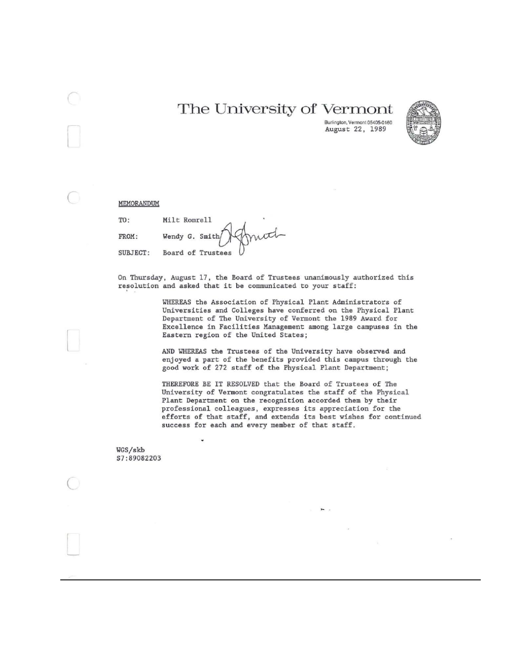# The University of Vermont



Burlington, Vermont 05405-0160 August 22, 1989

MEMORANDUM

TO: Milt Romrell FROM: Wendy G. Smith SUBJECT: Board of Trustees

Ü,

On Thursday, August 17, the Board of Trustees unanimously authorized this resolution and asked that it be communicated to your staff:

> WHEREAS the Association of Physical Plant Administrators of Universities and Colleges have conferred on the Physical Plant Department of The University of Vermont the 1989 Award for Excellence in Facilities Management among large campuses in the Eastern region of the United States;

> AND WHEREAS the Trustees of the University have observed and enjoyed a part of the benefits provided this campus through the good work of 272 staff of the Physical Plant Department;

THEREFORE BE IT RESOLVED that the Board of Trustees of The University of Vermont congratulates the staff of the Physical Plant Department on the recognition accorded them by their professional colleagues, expresses its appreciation for the efforts of that staff, and extends its best wishes for continued success for each and every member of that staff.

 $\mathbf{H}$ 

WGS/skb \$7:89082203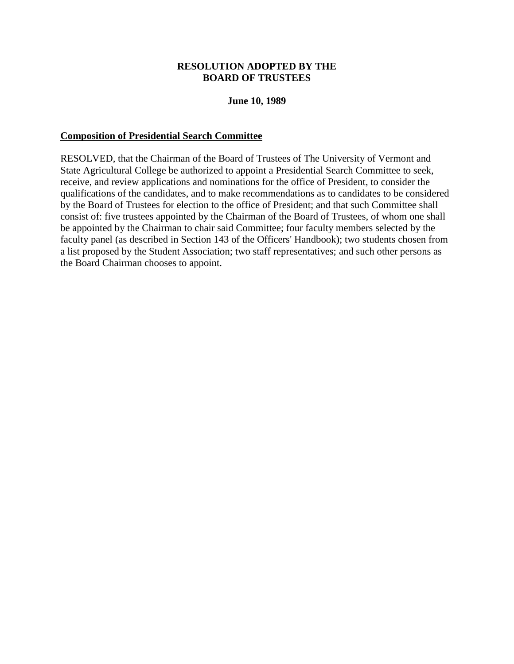#### **RESOLUTION ADOPTED BY THE BOARD OF TRUSTEES**

#### **June 10, 1989**

#### <span id="page-17-0"></span>**Composition of Presidential Search Committee**

RESOLVED, that the Chairman of the Board of Trustees of The University of Vermont and State Agricultural College be authorized to appoint a Presidential Search Committee to seek, receive, and review applications and nominations for the office of President, to consider the qualifications of the candidates, and to make recommendations as to candidates to be considered by the Board of Trustees for election to the office of President; and that such Committee shall consist of: five trustees appointed by the Chairman of the Board of Trustees, of whom one shall be appointed by the Chairman to chair said Committee; four faculty members selected by the faculty panel (as described in Section 143 of the Officers' Handbook); two students chosen from a list proposed by the Student Association; two staff representatives; and such other persons as the Board Chairman chooses to appoint.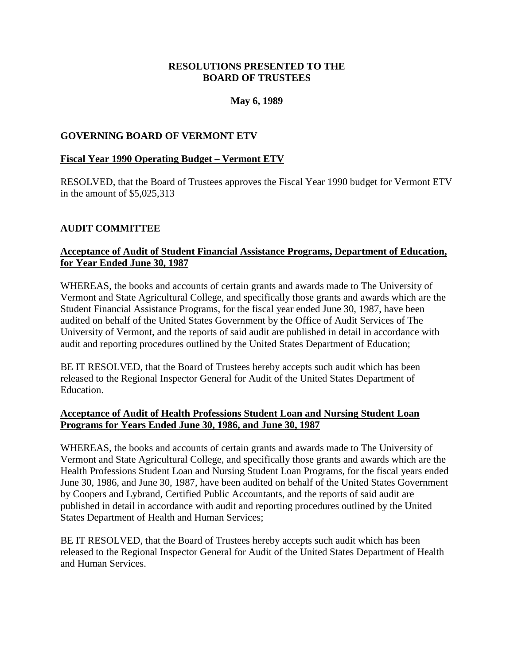# **RESOLUTIONS PRESENTED TO THE BOARD OF TRUSTEES**

# **May 6, 1989**

# <span id="page-18-0"></span>**GOVERNING BOARD OF VERMONT ETV**

#### **Fiscal Year 1990 Operating Budget – Vermont ETV**

RESOLVED, that the Board of Trustees approves the Fiscal Year 1990 budget for Vermont ETV in the amount of \$5,025,313

# **AUDIT COMMITTEE**

# **Acceptance of Audit of Student Financial Assistance Programs, Department of Education, for Year Ended June 30, 1987**

WHEREAS, the books and accounts of certain grants and awards made to The University of Vermont and State Agricultural College, and specifically those grants and awards which are the Student Financial Assistance Programs, for the fiscal year ended June 30, 1987, have been audited on behalf of the United States Government by the Office of Audit Services of The University of Vermont, and the reports of said audit are published in detail in accordance with audit and reporting procedures outlined by the United States Department of Education;

BE IT RESOLVED, that the Board of Trustees hereby accepts such audit which has been released to the Regional Inspector General for Audit of the United States Department of Education.

# **Acceptance of Audit of Health Professions Student Loan and Nursing Student Loan Programs for Years Ended June 30, 1986, and June 30, 1987**

WHEREAS, the books and accounts of certain grants and awards made to The University of Vermont and State Agricultural College, and specifically those grants and awards which are the Health Professions Student Loan and Nursing Student Loan Programs, for the fiscal years ended June 30, 1986, and June 30, 1987, have been audited on behalf of the United States Government by Coopers and Lybrand, Certified Public Accountants, and the reports of said audit are published in detail in accordance with audit and reporting procedures outlined by the United States Department of Health and Human Services;

BE IT RESOLVED, that the Board of Trustees hereby accepts such audit which has been released to the Regional Inspector General for Audit of the United States Department of Health and Human Services.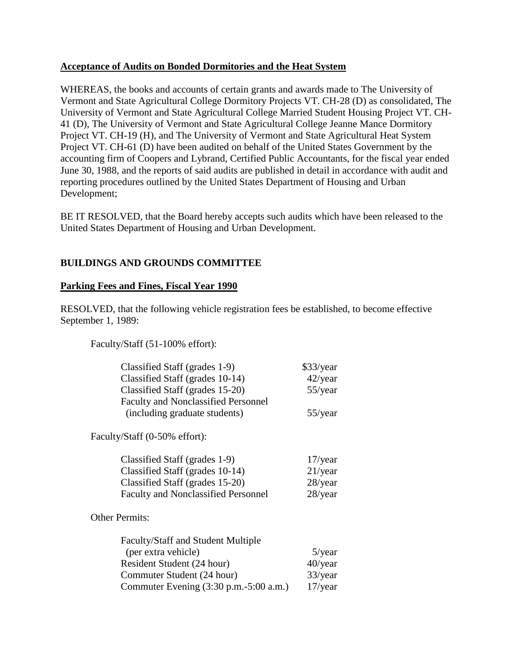### <span id="page-19-0"></span>**Acceptance of Audits on Bonded Dormitories and the Heat System**

WHEREAS, the books and accounts of certain grants and awards made to The University of Vermont and State Agricultural College Dormitory Projects VT. CH-28 (D) as consolidated, The University of Vermont and State Agricultural College Married Student Housing Project VT. CH-41 (D), The University of Vermont and State Agricultural College Jeanne Mance Dormitory Project VT. CH-19 (H), and The University of Vermont and State Agricultural Heat System Project VT. CH-61 (D) have been audited on behalf of the United States Government by the accounting firm of Coopers and Lybrand, Certified Public Accountants, for the fiscal year ended June 30, 1988, and the reports of said audits are published in detail in accordance with audit and reporting procedures outlined by the United States Department of Housing and Urban Development;

BE IT RESOLVED, that the Board hereby accepts such audits which have been released to the United States Department of Housing and Urban Development.

# **BUILDINGS AND GROUNDS COMMITTEE**

# **Parking Fees and Fines, Fiscal Year 1990**

RESOLVED, that the following vehicle registration fees be established, to become effective September 1, 1989:

Faculty/Staff (51-100% effort):

| Classified Staff (grades 1-9)              | \$33/year  |
|--------------------------------------------|------------|
| Classified Staff (grades 10-14)            | $42$ /year |
| Classified Staff (grades 15-20)            | $55$ /year |
| <b>Faculty and Nonclassified Personnel</b> |            |
| (including graduate students)              | $55$ /year |
| Faculty/Staff (0-50% effort):              |            |
| Classified Staff (grades 1-9)              | $17$ /year |
| Classified Staff (grades 10-14)            | $21$ /year |
| Classified Staff (grades 15-20)            | $28$ /year |
| <b>Faculty and Nonclassified Personnel</b> | $28$ /year |
| <b>Other Permits:</b>                      |            |
| Faculty/Staff and Student Multiple         |            |
| (per extra vehicle)                        | $5$ /year  |
| Resident Student (24 hour)                 | $40$ /year |
| Commuter Student (24 hour)                 | 33/year    |
| Commuter Evening (3:30 p.m.-5:00 a.m.)     | $17$ /year |
|                                            |            |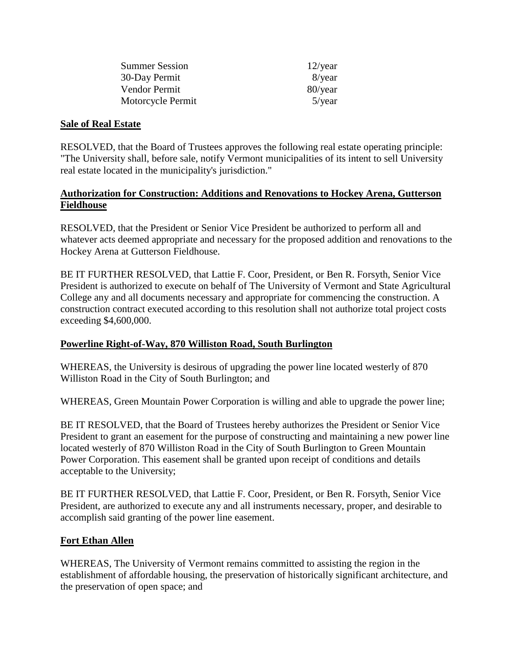| <b>Summer Session</b> | $12$ /year |
|-----------------------|------------|
| 30-Day Permit         | 8/year     |
| Vendor Permit         | 80/year    |
| Motorcycle Permit     | $5$ /year  |

# <span id="page-20-0"></span>**Sale of Real Estate**

RESOLVED, that the Board of Trustees approves the following real estate operating principle: "The University shall, before sale, notify Vermont municipalities of its intent to sell University real estate located in the municipality's jurisdiction."

# **Authorization for Construction: Additions and Renovations to Hockey Arena, Gutterson Fieldhouse**

RESOLVED, that the President or Senior Vice President be authorized to perform all and whatever acts deemed appropriate and necessary for the proposed addition and renovations to the Hockey Arena at Gutterson Fieldhouse.

BE IT FURTHER RESOLVED, that Lattie F. Coor, President, or Ben R. Forsyth, Senior Vice President is authorized to execute on behalf of The University of Vermont and State Agricultural College any and all documents necessary and appropriate for commencing the construction. A construction contract executed according to this resolution shall not authorize total project costs exceeding \$4,600,000.

# **Powerline Right-of-Way, 870 Williston Road, South Burlington**

WHEREAS, the University is desirous of upgrading the power line located westerly of 870 Williston Road in the City of South Burlington; and

WHEREAS, Green Mountain Power Corporation is willing and able to upgrade the power line;

BE IT RESOLVED, that the Board of Trustees hereby authorizes the President or Senior Vice President to grant an easement for the purpose of constructing and maintaining a new power line located westerly of 870 Williston Road in the City of South Burlington to Green Mountain Power Corporation. This easement shall be granted upon receipt of conditions and details acceptable to the University;

BE IT FURTHER RESOLVED, that Lattie F. Coor, President, or Ben R. Forsyth, Senior Vice President, are authorized to execute any and all instruments necessary, proper, and desirable to accomplish said granting of the power line easement.

# **Fort Ethan Allen**

WHEREAS, The University of Vermont remains committed to assisting the region in the establishment of affordable housing, the preservation of historically significant architecture, and the preservation of open space; and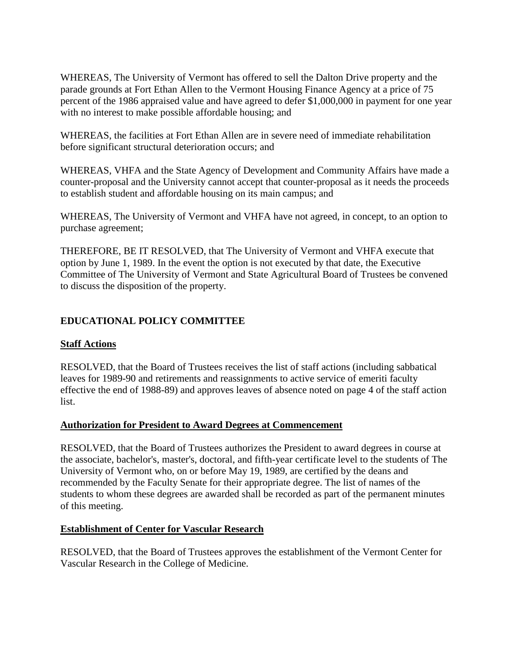<span id="page-21-0"></span>WHEREAS, The University of Vermont has offered to sell the Dalton Drive property and the parade grounds at Fort Ethan Allen to the Vermont Housing Finance Agency at a price of 75 percent of the 1986 appraised value and have agreed to defer \$1,000,000 in payment for one year with no interest to make possible affordable housing; and

WHEREAS, the facilities at Fort Ethan Allen are in severe need of immediate rehabilitation before significant structural deterioration occurs; and

WHEREAS, VHFA and the State Agency of Development and Community Affairs have made a counter-proposal and the University cannot accept that counter-proposal as it needs the proceeds to establish student and affordable housing on its main campus; and

WHEREAS, The University of Vermont and VHFA have not agreed, in concept, to an option to purchase agreement;

THEREFORE, BE IT RESOLVED, that The University of Vermont and VHFA execute that option by June 1, 1989. In the event the option is not executed by that date, the Executive Committee of The University of Vermont and State Agricultural Board of Trustees be convened to discuss the disposition of the property.

# **EDUCATIONAL POLICY COMMITTEE**

# **Staff Actions**

RESOLVED, that the Board of Trustees receives the list of staff actions (including sabbatical leaves for 1989-90 and retirements and reassignments to active service of emeriti faculty effective the end of 1988-89) and approves leaves of absence noted on page 4 of the staff action list.

#### **Authorization for President to Award Degrees at Commencement**

RESOLVED, that the Board of Trustees authorizes the President to award degrees in course at the associate, bachelor's, master's, doctoral, and fifth-year certificate level to the students of The University of Vermont who, on or before May 19, 1989, are certified by the deans and recommended by the Faculty Senate for their appropriate degree. The list of names of the students to whom these degrees are awarded shall be recorded as part of the permanent minutes of this meeting.

#### **Establishment of Center for Vascular Research**

RESOLVED, that the Board of Trustees approves the establishment of the Vermont Center for Vascular Research in the College of Medicine.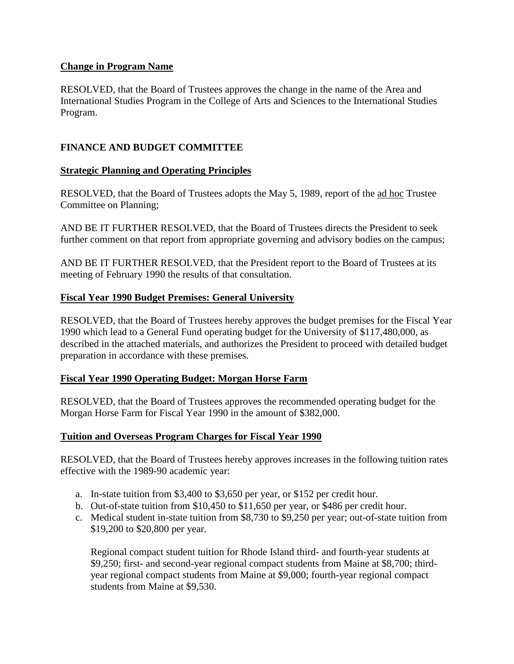# <span id="page-22-0"></span>**Change in Program Name**

RESOLVED, that the Board of Trustees approves the change in the name of the Area and International Studies Program in the College of Arts and Sciences to the International Studies Program.

# **FINANCE AND BUDGET COMMITTEE**

# **Strategic Planning and Operating Principles**

RESOLVED, that the Board of Trustees adopts the May 5, 1989, report of the ad hoc Trustee Committee on Planning;

AND BE IT FURTHER RESOLVED, that the Board of Trustees directs the President to seek further comment on that report from appropriate governing and advisory bodies on the campus;

AND BE IT FURTHER RESOLVED, that the President report to the Board of Trustees at its meeting of February 1990 the results of that consultation.

# **Fiscal Year 1990 Budget Premises: General University**

RESOLVED, that the Board of Trustees hereby approves the budget premises for the Fiscal Year 1990 which lead to a General Fund operating budget for the University of \$117,480,000, as described in the attached materials, and authorizes the President to proceed with detailed budget preparation in accordance with these premises.

#### **Fiscal Year 1990 Operating Budget: Morgan Horse Farm**

RESOLVED, that the Board of Trustees approves the recommended operating budget for the Morgan Horse Farm for Fiscal Year 1990 in the amount of \$382,000.

# **Tuition and Overseas Program Charges for Fiscal Year 1990**

RESOLVED, that the Board of Trustees hereby approves increases in the following tuition rates effective with the 1989-90 academic year:

- a. In-state tuition from \$3,400 to \$3,650 per year, or \$152 per credit hour.
- b. Out-of-state tuition from \$10,450 to \$11,650 per year, or \$486 per credit hour.
- c. Medical student in-state tuition from \$8,730 to \$9,250 per year; out-of-state tuition from \$19,200 to \$20,800 per year.

Regional compact student tuition for Rhode Island third- and fourth-year students at \$9,250; first- and second-year regional compact students from Maine at \$8,700; thirdyear regional compact students from Maine at \$9,000; fourth-year regional compact students from Maine at \$9,530.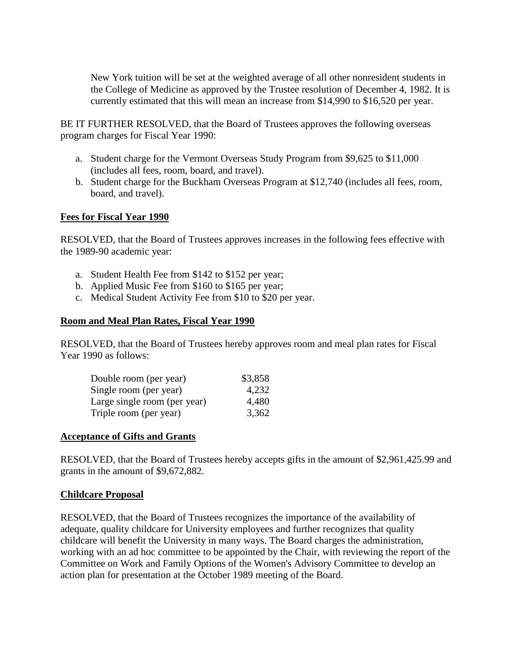<span id="page-23-0"></span>New York tuition will be set at the weighted average of all other nonresident students in the College of Medicine as approved by the Trustee resolution of December 4, 1982. It is currently estimated that this will mean an increase from \$14,990 to \$16,520 per year.

BE IT FURTHER RESOLVED, that the Board of Trustees approves the following overseas program charges for Fiscal Year 1990:

- a. Student charge for the Vermont Overseas Study Program from \$9,625 to \$11,000 (includes all fees, room, board, and travel).
- b. Student charge for the Buckham Overseas Program at \$12,740 (includes all fees, room, board, and travel).

# **Fees for Fiscal Year 1990**

RESOLVED, that the Board of Trustees approves increases in the following fees effective with the 1989-90 academic year:

- a. Student Health Fee from \$142 to \$152 per year;
- b. Applied Music Fee from \$160 to \$165 per year;
- c. Medical Student Activity Fee from \$10 to \$20 per year.

#### **Room and Meal Plan Rates, Fiscal Year 1990**

RESOLVED, that the Board of Trustees hereby approves room and meal plan rates for Fiscal Year 1990 as follows:

| Double room (per year)       | \$3,858 |
|------------------------------|---------|
| Single room (per year)       | 4,232   |
| Large single room (per year) | 4,480   |
| Triple room (per year)       | 3,362   |

#### **Acceptance of Gifts and Grants**

RESOLVED, that the Board of Trustees hereby accepts gifts in the amount of \$2,961,425.99 and grants in the amount of \$9,672,882.

#### **Childcare Proposal**

RESOLVED, that the Board of Trustees recognizes the importance of the availability of adequate, quality childcare for University employees and further recognizes that quality childcare will benefit the University in many ways. The Board charges the administration, working with an ad hoc committee to be appointed by the Chair, with reviewing the report of the Committee on Work and Family Options of the Women's Advisory Committee to develop an action plan for presentation at the October 1989 meeting of the Board.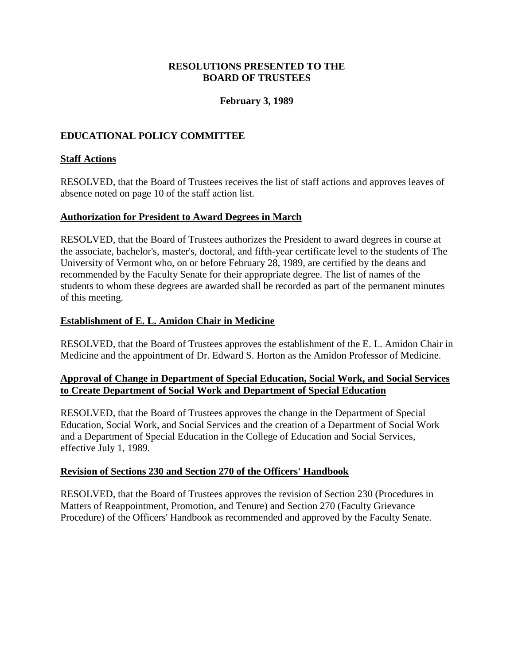# **RESOLUTIONS PRESENTED TO THE BOARD OF TRUSTEES**

# **February 3, 1989**

# <span id="page-24-0"></span>**EDUCATIONAL POLICY COMMITTEE**

# **Staff Actions**

RESOLVED, that the Board of Trustees receives the list of staff actions and approves leaves of absence noted on page 10 of the staff action list.

#### **Authorization for President to Award Degrees in March**

RESOLVED, that the Board of Trustees authorizes the President to award degrees in course at the associate, bachelor's, master's, doctoral, and fifth-year certificate level to the students of The University of Vermont who, on or before February 28, 1989, are certified by the deans and recommended by the Faculty Senate for their appropriate degree. The list of names of the students to whom these degrees are awarded shall be recorded as part of the permanent minutes of this meeting.

# **Establishment of E. L. Amidon Chair in Medicine**

RESOLVED, that the Board of Trustees approves the establishment of the E. L. Amidon Chair in Medicine and the appointment of Dr. Edward S. Horton as the Amidon Professor of Medicine.

# **Approval of Change in Department of Special Education, Social Work, and Social Services to Create Department of Social Work and Department of Special Education**

RESOLVED, that the Board of Trustees approves the change in the Department of Special Education, Social Work, and Social Services and the creation of a Department of Social Work and a Department of Special Education in the College of Education and Social Services, effective July 1, 1989.

#### **Revision of Sections 230 and Section 270 of the Officers' Handbook**

RESOLVED, that the Board of Trustees approves the revision of Section 230 (Procedures in Matters of Reappointment, Promotion, and Tenure) and Section 270 (Faculty Grievance Procedure) of the Officers' Handbook as recommended and approved by the Faculty Senate.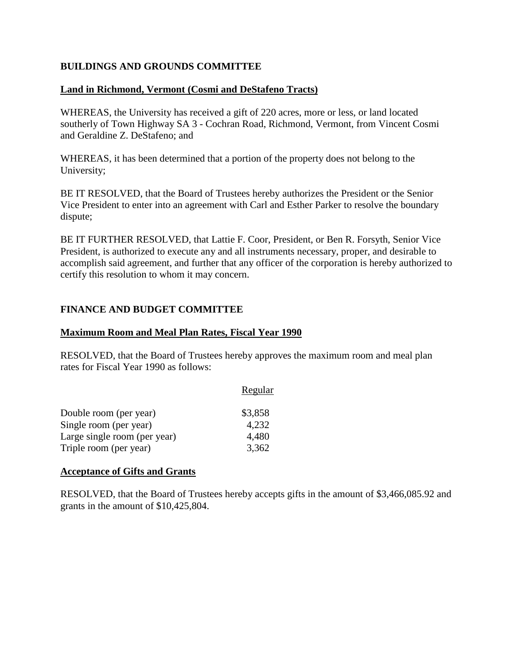# <span id="page-25-0"></span>**BUILDINGS AND GROUNDS COMMITTEE**

#### **Land in Richmond, Vermont (Cosmi and DeStafeno Tracts)**

WHEREAS, the University has received a gift of 220 acres, more or less, or land located southerly of Town Highway SA 3 - Cochran Road, Richmond, Vermont, from Vincent Cosmi and Geraldine Z. DeStafeno; and

WHEREAS, it has been determined that a portion of the property does not belong to the University;

BE IT RESOLVED, that the Board of Trustees hereby authorizes the President or the Senior Vice President to enter into an agreement with Carl and Esther Parker to resolve the boundary dispute;

BE IT FURTHER RESOLVED, that Lattie F. Coor, President, or Ben R. Forsyth, Senior Vice President, is authorized to execute any and all instruments necessary, proper, and desirable to accomplish said agreement, and further that any officer of the corporation is hereby authorized to certify this resolution to whom it may concern.

#### **FINANCE AND BUDGET COMMITTEE**

#### **Maximum Room and Meal Plan Rates, Fiscal Year 1990**

RESOLVED, that the Board of Trustees hereby approves the maximum room and meal plan rates for Fiscal Year 1990 as follows:

|                              | Regular |
|------------------------------|---------|
| Double room (per year)       | \$3,858 |
| Single room (per year)       | 4,232   |
| Large single room (per year) | 4,480   |
| Triple room (per year)       | 3,362   |

#### **Acceptance of Gifts and Grants**

RESOLVED, that the Board of Trustees hereby accepts gifts in the amount of \$3,466,085.92 and grants in the amount of \$10,425,804.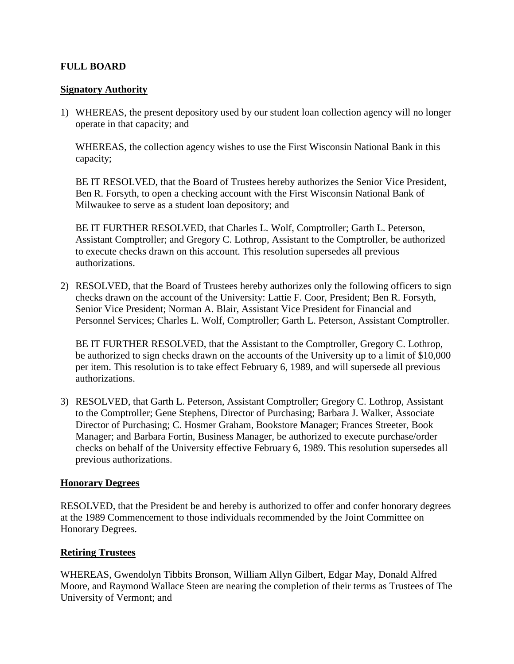# <span id="page-26-0"></span>**FULL BOARD**

#### **Signatory Authority**

1) WHEREAS, the present depository used by our student loan collection agency will no longer operate in that capacity; and

WHEREAS, the collection agency wishes to use the First Wisconsin National Bank in this capacity;

BE IT RESOLVED, that the Board of Trustees hereby authorizes the Senior Vice President, Ben R. Forsyth, to open a checking account with the First Wisconsin National Bank of Milwaukee to serve as a student loan depository; and

BE IT FURTHER RESOLVED, that Charles L. Wolf, Comptroller; Garth L. Peterson, Assistant Comptroller; and Gregory C. Lothrop, Assistant to the Comptroller, be authorized to execute checks drawn on this account. This resolution supersedes all previous authorizations.

2) RESOLVED, that the Board of Trustees hereby authorizes only the following officers to sign checks drawn on the account of the University: Lattie F. Coor, President; Ben R. Forsyth, Senior Vice President; Norman A. Blair, Assistant Vice President for Financial and Personnel Services; Charles L. Wolf, Comptroller; Garth L. Peterson, Assistant Comptroller.

BE IT FURTHER RESOLVED, that the Assistant to the Comptroller, Gregory C. Lothrop, be authorized to sign checks drawn on the accounts of the University up to a limit of \$10,000 per item. This resolution is to take effect February 6, 1989, and will supersede all previous authorizations.

3) RESOLVED, that Garth L. Peterson, Assistant Comptroller; Gregory C. Lothrop, Assistant to the Comptroller; Gene Stephens, Director of Purchasing; Barbara J. Walker, Associate Director of Purchasing; C. Hosmer Graham, Bookstore Manager; Frances Streeter, Book Manager; and Barbara Fortin, Business Manager, be authorized to execute purchase/order checks on behalf of the University effective February 6, 1989. This resolution supersedes all previous authorizations.

#### **Honorary Degrees**

RESOLVED, that the President be and hereby is authorized to offer and confer honorary degrees at the 1989 Commencement to those individuals recommended by the Joint Committee on Honorary Degrees.

# **Retiring Trustees**

WHEREAS, Gwendolyn Tibbits Bronson, William Allyn Gilbert, Edgar May, Donald Alfred Moore, and Raymond Wallace Steen are nearing the completion of their terms as Trustees of The University of Vermont; and